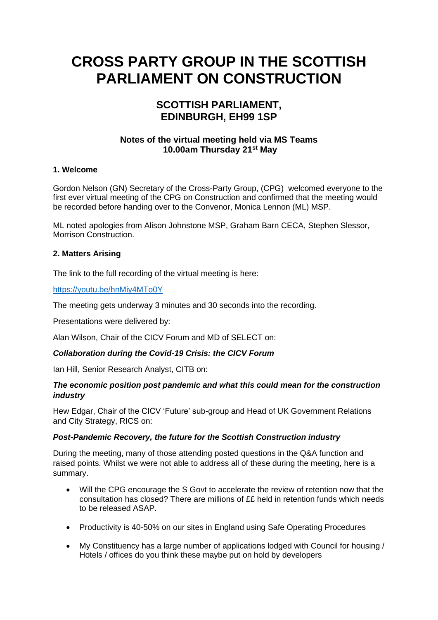# **CROSS PARTY GROUP IN THE SCOTTISH PARLIAMENT ON CONSTRUCTION**

# **SCOTTISH PARLIAMENT, EDINBURGH, EH99 1SP**

## **Notes of the virtual meeting held via MS Teams 10.00am Thursday 21st May**

#### **1. Welcome**

Gordon Nelson (GN) Secretary of the Cross-Party Group, (CPG) welcomed everyone to the first ever virtual meeting of the CPG on Construction and confirmed that the meeting would be recorded before handing over to the Convenor, Monica Lennon (ML) MSP.

ML noted apologies from Alison Johnstone MSP, Graham Barn CECA, Stephen Slessor, Morrison Construction.

#### **2. Matters Arising**

The link to the full recording of the virtual meeting is here:

<https://youtu.be/hnMiy4MTo0Y>

The meeting gets underway 3 minutes and 30 seconds into the recording.

Presentations were delivered by:

Alan Wilson, Chair of the CICV Forum and MD of SELECT on:

#### *Collaboration during the Covid-19 Crisis: the CICV Forum*

Ian Hill, Senior Research Analyst, CITB on:

#### *The economic position post pandemic and what this could mean for the construction industry*

Hew Edgar, Chair of the CICV 'Future' sub-group and Head of UK Government Relations and City Strategy, RICS on:

#### *Post-Pandemic Recovery, the future for the Scottish Construction industry*

During the meeting, many of those attending posted questions in the Q&A function and raised points. Whilst we were not able to address all of these during the meeting, here is a summary.

- Will the CPG encourage the S Govt to accelerate the review of retention now that the consultation has closed? There are millions of ££ held in retention funds which needs to be released ASAP.
- Productivity is 40-50% on our sites in England using Safe Operating Procedures
- My Constituency has a large number of applications lodged with Council for housing / Hotels / offices do you think these maybe put on hold by developers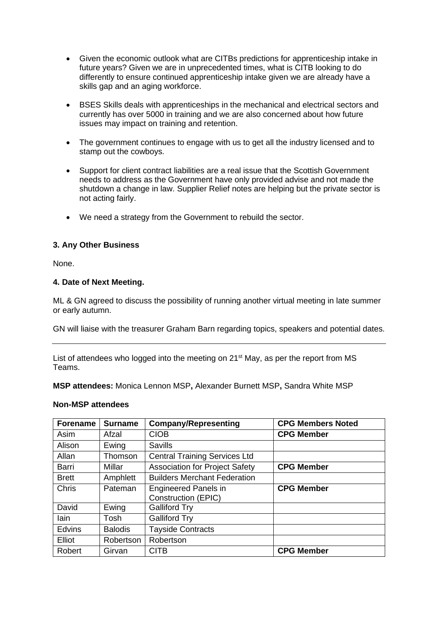- Given the economic outlook what are CITBs predictions for apprenticeship intake in future years? Given we are in unprecedented times, what is CITB looking to do differently to ensure continued apprenticeship intake given we are already have a skills gap and an aging workforce.
- BSES Skills deals with apprenticeships in the mechanical and electrical sectors and currently has over 5000 in training and we are also concerned about how future issues may impact on training and retention.
- The government continues to engage with us to get all the industry licensed and to stamp out the cowboys.
- Support for client contract liabilities are a real issue that the Scottish Government needs to address as the Government have only provided advise and not made the shutdown a change in law. Supplier Relief notes are helping but the private sector is not acting fairly.
- We need a strategy from the Government to rebuild the sector.

### **3. Any Other Business**

None.

#### **4. Date of Next Meeting.**

ML & GN agreed to discuss the possibility of running another virtual meeting in late summer or early autumn.

GN will liaise with the treasurer Graham Barn regarding topics, speakers and potential dates.

List of attendees who logged into the meeting on 21<sup>st</sup> May, as per the report from MS Teams.

**MSP attendees:** Monica Lennon MSP**,** Alexander Burnett MSP**,** Sandra White MSP

#### **Non-MSP attendees**

| <b>Forename</b> | <b>Surname</b> | <b>Company/Representing</b>           | <b>CPG Members Noted</b> |
|-----------------|----------------|---------------------------------------|--------------------------|
| Asim            | Afzal          | <b>CIOB</b>                           | <b>CPG Member</b>        |
| Alison          | Ewing          | <b>Savills</b>                        |                          |
| Allan           | Thomson        | <b>Central Training Services Ltd</b>  |                          |
| Barri           | <b>Millar</b>  | <b>Association for Project Safety</b> | <b>CPG Member</b>        |
| <b>Brett</b>    | Amphlett       | <b>Builders Merchant Federation</b>   |                          |
| <b>Chris</b>    | Pateman        | <b>Engineered Panels in</b>           | <b>CPG Member</b>        |
|                 |                | <b>Construction (EPIC)</b>            |                          |
| David           | Ewing          | <b>Galliford Try</b>                  |                          |
| lain            | Tosh           | <b>Galliford Try</b>                  |                          |
| Edvins          | <b>Balodis</b> | <b>Tayside Contracts</b>              |                          |
| Elliot          | Robertson      | Robertson                             |                          |
| Robert          | Girvan         | <b>CITB</b>                           | <b>CPG Member</b>        |